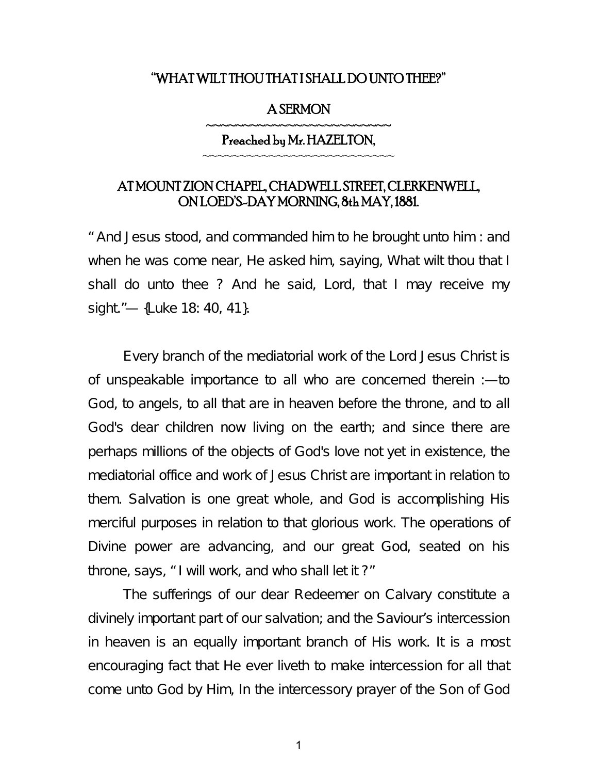#### "WHAT WILT THOU THAT I SHALL DO UNTO THEE?"

#### A SERMON

### ~~~~~~~~~~~~~~~~~~~~~~~~ Preached by Mr. HAZELTON, ~~~~~~~~~~~~~~~~~~~~~~~~~

## AT MOUNT ZION CHAPEL, CHADWELL STREET, CLERKENWELL, ON LOED'S-DAY MORNING, 8th MAY, 1881.

" And Jesus stood, and commanded him to he brought unto him : and when he was come near, He asked him, saying, What wilt thou that I shall do unto thee ? And he said, Lord, that I may receive my sight."— {Luke 18: 40, 41}.

Every branch of the mediatorial work of the Lord Jesus Christ is of unspeakable importance to all who are concerned therein :—to God, to angels, to all that are in heaven before the throne, and to all God's dear children now living on the earth; and since there are perhaps millions of the objects of God's love not yet in existence, the mediatorial office and work of Jesus Christ are important in relation to them. Salvation is one great whole, and God is accomplishing His merciful purposes in relation to that glorious work. The operations of Divine power are advancing, and our great God, seated on his throne, says, " I will work, and who shall let it ?"

The sufferings of our dear Redeemer on Calvary constitute a divinely important part of our salvation; and the Saviour's intercession in heaven is an equally important branch of His work. It is a most encouraging fact that He ever liveth to make intercession for all that come unto God by Him, In the intercessory prayer of the Son of God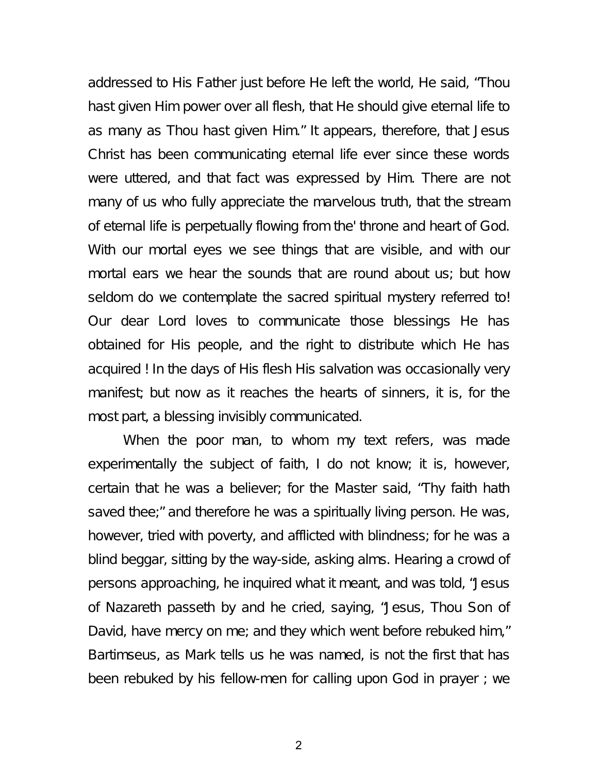addressed to His Father just before He left the world, He said, "Thou hast given Him power over all flesh, that He should give eternal life to as many as Thou hast given Him." It appears, therefore, that Jesus Christ has been communicating eternal life ever since these words were uttered, and that fact was expressed by Him. There are not many of us who fully appreciate the marvelous truth, that the stream of eternal life is perpetually flowing from the' throne and heart of God. With our mortal eyes we see things that are visible, and with our mortal ears we hear the sounds that are round about us; but how seldom do we contemplate the sacred spiritual mystery referred to! Our dear Lord loves to communicate those blessings He has obtained for His people, and the right to distribute which He has acquired ! In the days of His flesh His salvation was occasionally very manifest; but now as it reaches the hearts of sinners, it is, for the most part, a blessing invisibly communicated.

When the poor man, to whom my text refers, was made experimentally the subject of faith, I do not know; it is, however, certain that he was a believer; for the Master said, "Thy faith hath saved thee;" and therefore he was a spiritually living person. He was, however, tried with poverty, and afflicted with blindness; for he was a blind beggar, sitting by the way-side, asking alms. Hearing a crowd of persons approaching, he inquired what it meant, and was told, "Jesus of Nazareth passeth by and he cried, saying, "Jesus, Thou Son of David, have mercy on me; and they which went before rebuked him," Bartimseus, as Mark tells us he was named, is not the first that has been rebuked by his fellow-men for calling upon God in prayer ; we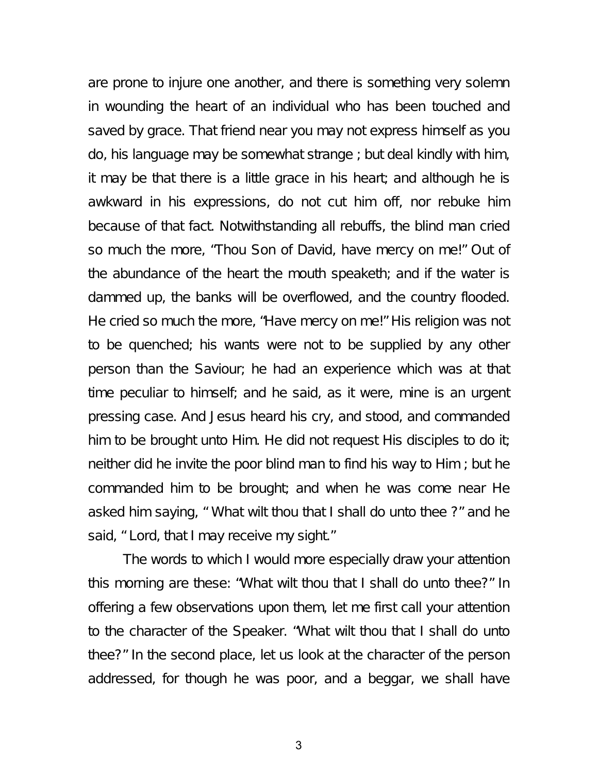are prone to injure one another, and there is something very solemn in wounding the heart of an individual who has been touched and saved by grace. That friend near you may not express himself as you do, his language may be somewhat strange ; but deal kindly with him, it may be that there is a little grace in his heart; and although he is awkward in his expressions, do not cut him off, nor rebuke him because of that fact. Notwithstanding all rebuffs, the blind man cried so much the more, "Thou Son of David, have mercy on me!" Out of the abundance of the heart the mouth speaketh; and if the water is dammed up, the banks will be overflowed, and the country flooded. He cried so much the more, "Have mercy on me!" His religion was not to be quenched; his wants were not to be supplied by any other person than the Saviour; he had an experience which was at that time peculiar to himself; and he said, as it were, mine is an urgent pressing case. And Jesus heard his cry, and stood, and commanded him to be brought unto Him. He did not request His disciples to do it; neither did he invite the poor blind man to find his way to Him ; but he commanded him to be brought; and when he was come near He asked him saying, " What wilt thou that I shall do unto thee ?" and he said, " Lord, that I may receive my sight."

The words to which I would more especially draw your attention this morning are these: "What wilt thou that I shall do unto thee?" In offering a few observations upon them, let me first call your attention to the character of the Speaker. "What wilt thou that I shall do unto thee?" In the second place, let us look at the character of the person addressed, for though he was poor, and a beggar, we shall have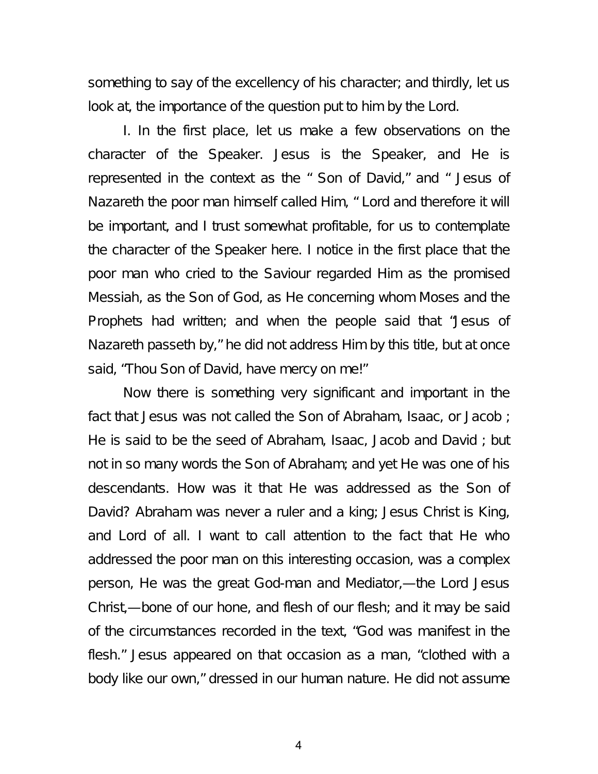something to say of the excellency of his character; and thirdly, let us look at, the importance of the question put to him by the Lord.

I. In the first place, let us make a few observations on the character of the Speaker. Jesus is the Speaker, and He is represented in the context as the " Son of David," and " Jesus of Nazareth the poor man himself called Him, " Lord and therefore it will be important, and I trust somewhat profitable, for us to contemplate the character of the Speaker here. I notice in the first place that the poor man who cried to the Saviour regarded Him as the promised Messiah, as the Son of God, as He concerning whom Moses and the Prophets had written; and when the people said that "Jesus of Nazareth passeth by," he did not address Him by this title, but at once said, "Thou Son of David, have mercy on me!"

Now there is something very significant and important in the fact that Jesus was not called the Son of Abraham, Isaac, or Jacob; He is said to be the seed of Abraham, Isaac, Jacob and David ; but not in so many words the Son of Abraham; and yet He was one of his descendants. How was it that He was addressed as the Son of David? Abraham was never a ruler and a king; Jesus Christ is King, and Lord of all. I want to call attention to the fact that He who addressed the poor man on this interesting occasion, was a complex person, He was the great God-man and Mediator,—the Lord Jesus Christ,—bone of our hone, and flesh of our flesh; and it may be said of the circumstances recorded in the text, "God was manifest in the flesh." Jesus appeared on that occasion as a man, "clothed with a body like our own," dressed in our human nature. He did not assume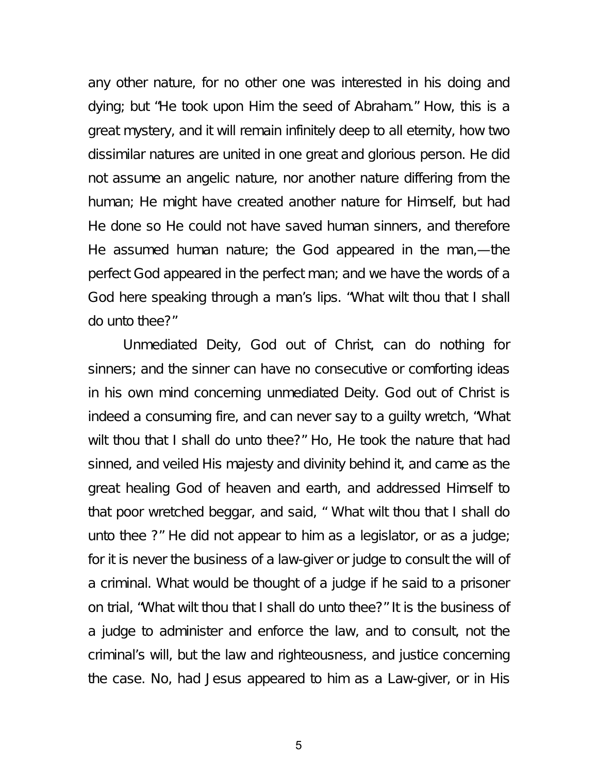any other nature, for no other one was interested in his doing and dying; but "He took upon Him the seed of Abraham." How, this is a great mystery, and it will remain infinitely deep to all eternity, how two dissimilar natures are united in one great and glorious person. He did not assume an angelic nature, nor another nature differing from the human; He might have created another nature for Himself, but had He done so He could not have saved human sinners, and therefore He assumed human nature; the God appeared in the man,—the perfect God appeared in the perfect man; and we have the words of a God here speaking through a man's lips. "What wilt thou that I shall do unto thee?"

Unmediated Deity, God out of Christ, can do nothing for sinners; and the sinner can have no consecutive or comforting ideas in his own mind concerning unmediated Deity. God out of Christ is indeed a consuming fire, and can never say to a guilty wretch, "What wilt thou that I shall do unto thee?" Ho, He took the nature that had sinned, and veiled His majesty and divinity behind it, and came as the great healing God of heaven and earth, and addressed Himself to that poor wretched beggar, and said, " What wilt thou that I shall do unto thee ?" He did not appear to him as a legislator, or as a judge; for it is never the business of a law-giver or judge to consult the will of a criminal. What would be thought of a judge if he said to a prisoner on trial, "What wilt thou that I shall do unto thee?" It is the business of a judge to administer and enforce the law, and to consult, not the criminal's will, but the law and righteousness, and justice concerning the case. No, had Jesus appeared to him as a Law-giver, or in His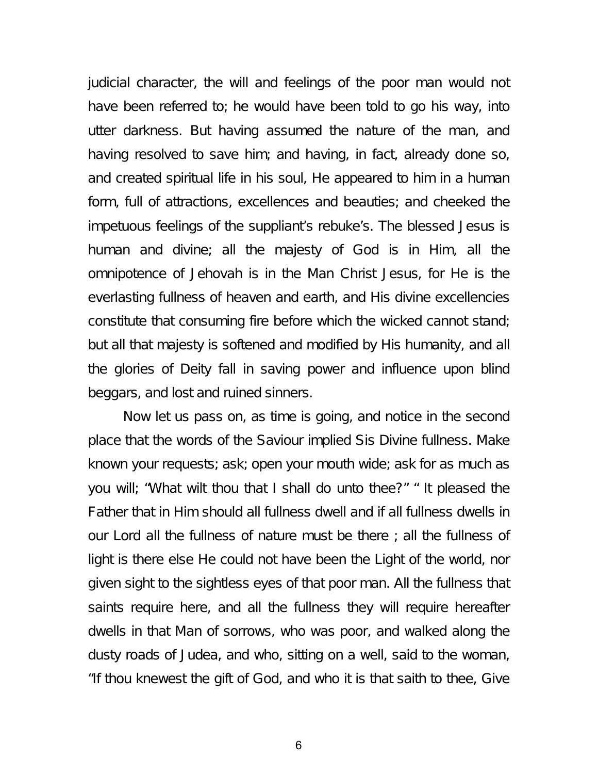judicial character, the will and feelings of the poor man would not have been referred to; he would have been told to go his way, into utter darkness. But having assumed the nature of the man, and having resolved to save him; and having, in fact, already done so, and created spiritual life in his soul, He appeared to him in a human form, full of attractions, excellences and beauties; and cheeked the impetuous feelings of the suppliant's rebuke's. The blessed Jesus is human and divine; all the majesty of God is in Him, all the omnipotence of Jehovah is in the Man Christ Jesus, for He is the everlasting fullness of heaven and earth, and His divine excellencies constitute that consuming fire before which the wicked cannot stand; but all that majesty is softened and modified by His humanity, and all the glories of Deity fall in saving power and influence upon blind beggars, and lost and ruined sinners.

Now let us pass on, as time is going, and notice in the second place that the words of the Saviour implied Sis Divine fullness. Make known your requests; ask; open your mouth wide; ask for as much as you will; "What wilt thou that I shall do unto thee?" " It pleased the Father that in Him should all fullness dwell and if all fullness dwells in our Lord all the fullness of nature must be there ; all the fullness of light is there else He could not have been the Light of the world, nor given sight to the sightless eyes of that poor man. All the fullness that saints require here, and all the fullness they will require hereafter dwells in that Man of sorrows, who was poor, and walked along the dusty roads of Judea, and who, sitting on a well, said to the woman, "If thou knewest the gift of God, and who it is that saith to thee, Give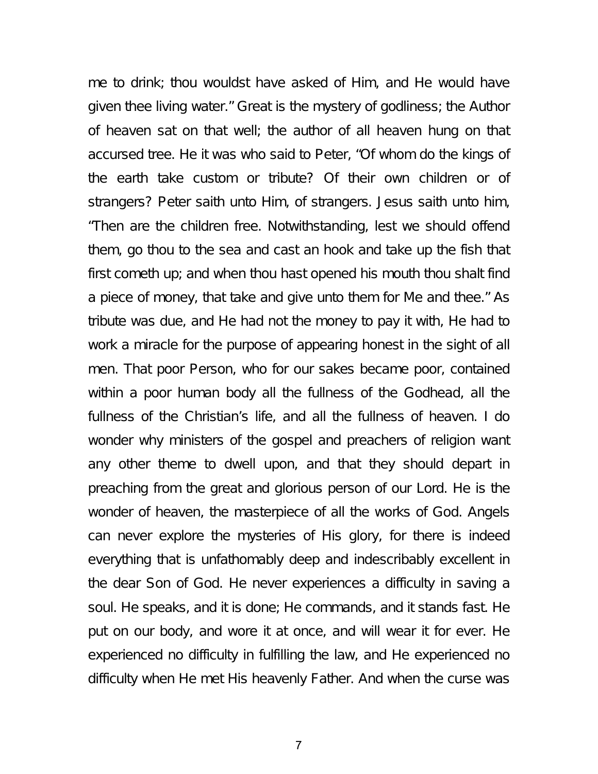me to drink; thou wouldst have asked of Him, and He would have given thee living water." Great is the mystery of godliness; the Author of heaven sat on that well; the author of all heaven hung on that accursed tree. He it was who said to Peter, "Of whom do the kings of the earth take custom or tribute? Of their own children or of strangers? Peter saith unto Him, of strangers. Jesus saith unto him, "Then are the children free. Notwithstanding, lest we should offend them, go thou to the sea and cast an hook and take up the fish that first cometh up; and when thou hast opened his mouth thou shalt find a piece of money, that take and give unto them for Me and thee." As tribute was due, and He had not the money to pay it with, He had to work a miracle for the purpose of appearing honest in the sight of all men. That poor Person, who for our sakes became poor, contained within a poor human body all the fullness of the Godhead, all the fullness of the Christian's life, and all the fullness of heaven. I do wonder why ministers of the gospel and preachers of religion want any other theme to dwell upon, and that they should depart in preaching from the great and glorious person of our Lord. He is the wonder of heaven, the masterpiece of all the works of God. Angels can never explore the mysteries of His glory, for there is indeed everything that is unfathomably deep and indescribably excellent in the dear Son of God. He never experiences a difficulty in saving a soul. He speaks, and it is done; He commands, and it stands fast. He put on our body, and wore it at once, and will wear it for ever. He experienced no difficulty in fulfilling the law, and He experienced no difficulty when He met His heavenly Father. And when the curse was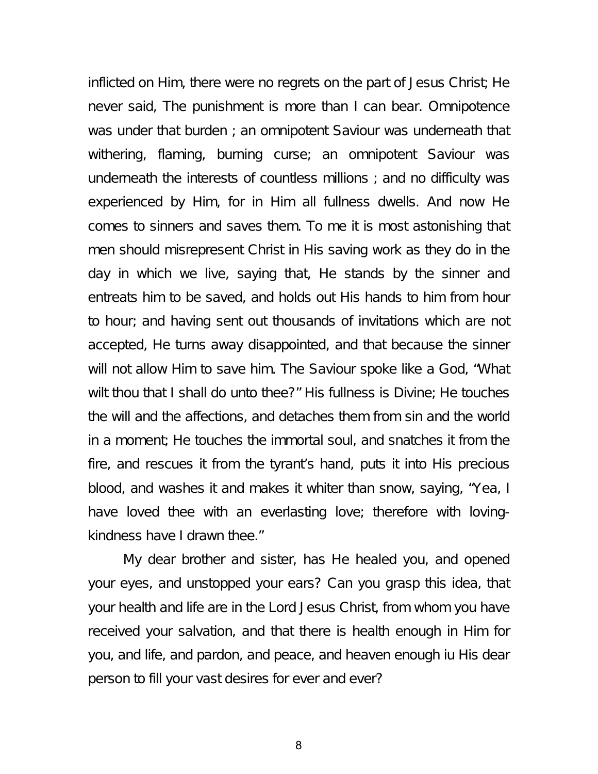inflicted on Him, there were no regrets on the part of Jesus Christ; He never said, The punishment is more than I can bear. Omnipotence was under that burden ; an omnipotent Saviour was underneath that withering, flaming, burning curse; an omnipotent Saviour was underneath the interests of countless millions ; and no difficulty was experienced by Him, for in Him all fullness dwells. And now He comes to sinners and saves them. To me it is most astonishing that men should misrepresent Christ in His saving work as they do in the day in which we live, saying that, He stands by the sinner and entreats him to be saved, and holds out His hands to him from hour to hour; and having sent out thousands of invitations which are not accepted, He turns away disappointed, and that because the sinner will not allow Him to save him. The Saviour spoke like a God, "What wilt thou that I shall do unto thee?" His fullness is Divine; He touches the will and the affections, and detaches them from sin and the world in a moment; He touches the immortal soul, and snatches it from the fire, and rescues it from the tyrant's hand, puts it into His precious blood, and washes it and makes it whiter than snow, saying, "Yea, I have loved thee with an everlasting love; therefore with lovingkindness have I drawn thee."

My dear brother and sister, has He healed you, and opened your eyes, and unstopped your ears? Can you grasp this idea, that your health and life are in the Lord Jesus Christ, from whom you have received your salvation, and that there is health enough in Him for you, and life, and pardon, and peace, and heaven enough iu His dear person to fill your vast desires for ever and ever?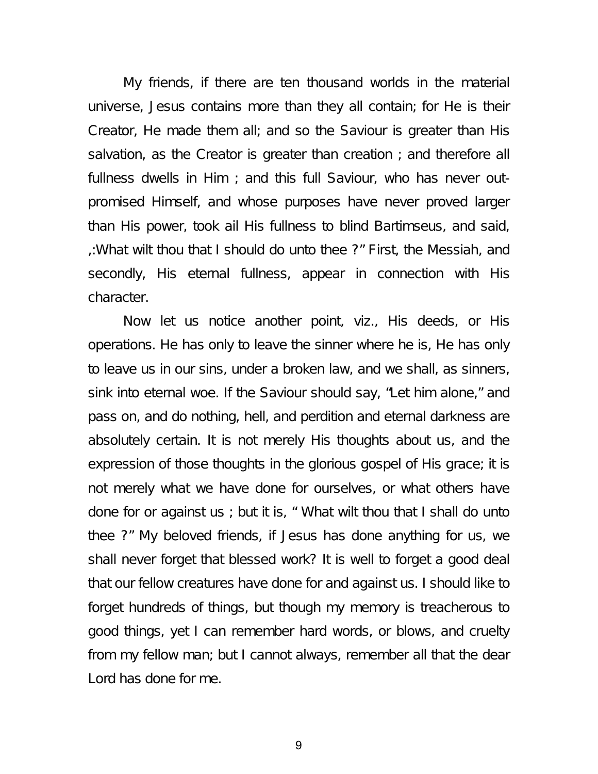My friends, if there are ten thousand worlds in the material universe, Jesus contains more than they all contain; for He is their Creator, He made them all; and so the Saviour is greater than His salvation, as the Creator is greater than creation ; and therefore all fullness dwells in Him ; and this full Saviour, who has never outpromised Himself, and whose purposes have never proved larger than His power, took ail His fullness to blind Bartimseus, and said, ,:What wilt thou that I should do unto thee ?" First, the Messiah, and secondly, His eternal fullness, appear in connection with His character.

Now let us notice another point, viz., His deeds, or His operations. He has only to leave the sinner where he is, He has only to leave us in our sins, under a broken law, and we shall, as sinners, sink into eternal woe. If the Saviour should say, "Let him alone," and pass on, and do nothing, hell, and perdition and eternal darkness are absolutely certain. It is not merely His thoughts about us, and the expression of those thoughts in the glorious gospel of His grace; it is not merely what we have done for ourselves, or what others have done for or against us ; but it is, " What wilt thou that I shall do unto thee ?" My beloved friends, if Jesus has done anything for us, we shall never forget that blessed work? It is well to forget a good deal that our fellow creatures have done for and against us. I should like to forget hundreds of things, but though my memory is treacherous to good things, yet I can remember hard words, or blows, and cruelty from my fellow man; but I cannot always, remember all that the dear Lord has done for me.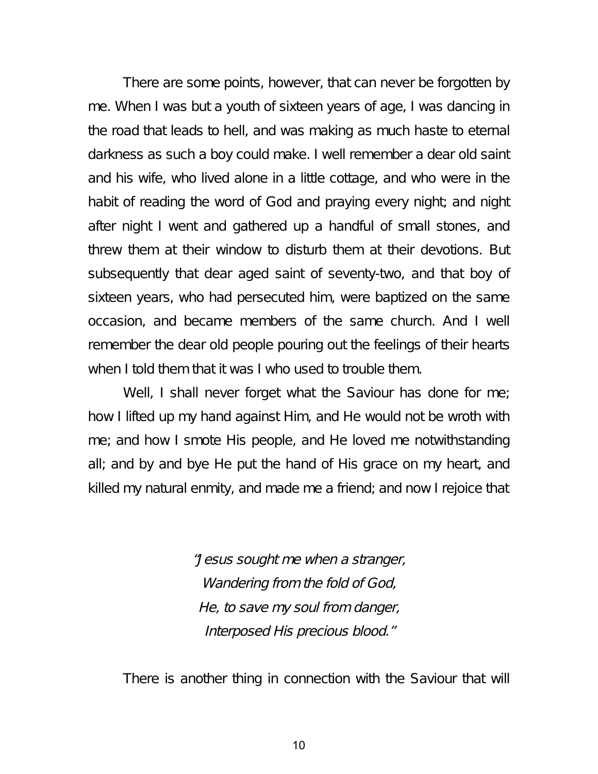There are some points, however, that can never be forgotten by me. When I was but a youth of sixteen years of age, I was dancing in the road that leads to hell, and was making as much haste to eternal darkness as such a boy could make. I well remember a dear old saint and his wife, who lived alone in a little cottage, and who were in the habit of reading the word of God and praying every night; and night after night I went and gathered up a handful of small stones, and threw them at their window to disturb them at their devotions. But subsequently that dear aged saint of seventy-two, and that boy of sixteen years, who had persecuted him, were baptized on the same occasion, and became members of the same church. And I well remember the dear old people pouring out the feelings of their hearts when I told them that it was I who used to trouble them.

Well, I shall never forget what the Saviour has done for me; how I lifted up my hand against Him, and He would not be wroth with me; and how I smote His people, and He loved me notwithstanding all; and by and bye He put the hand of His grace on my heart, and killed my natural enmity, and made me a friend; and now I rejoice that

> "Jesus sought me when <sup>a</sup> stranger, Wandering from the fold of God, He, to save my soul from danger, Interposed His precious blood."

There is another thing in connection with the Saviour that will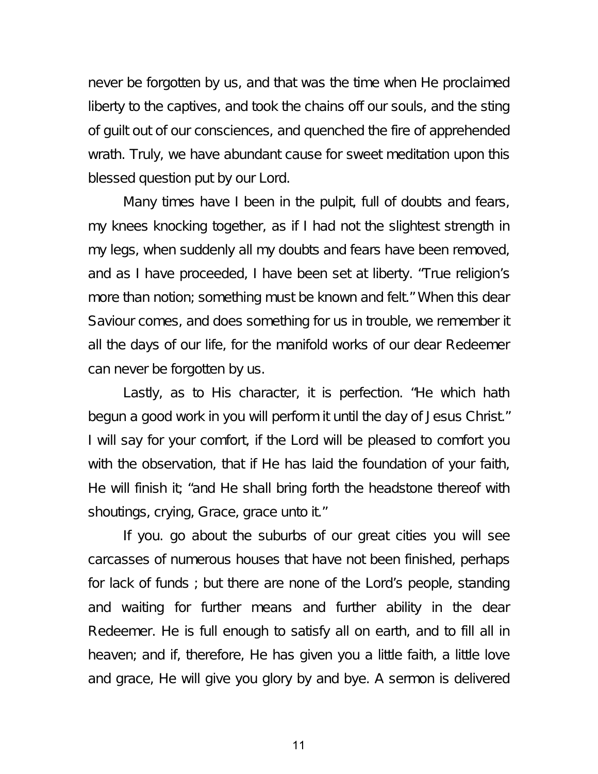never be forgotten by us, and that was the time when He proclaimed liberty to the captives, and took the chains off our souls, and the sting of guilt out of our consciences, and quenched the fire of apprehended wrath. Truly, we have abundant cause for sweet meditation upon this blessed question put by our Lord.

Many times have I been in the pulpit, full of doubts and fears, my knees knocking together, as if I had not the slightest strength in my legs, when suddenly all my doubts and fears have been removed, and as I have proceeded, I have been set at liberty. "True religion's more than notion; something must be known and felt." When this dear Saviour comes, and does something for us in trouble, we remember it all the days of our life, for the manifold works of our dear Redeemer can never be forgotten by us.

Lastly, as to His character, it is perfection. "He which hath begun a good work in you will perform it until the day of Jesus Christ." I will say for your comfort, if the Lord will be pleased to comfort you with the observation, that if He has laid the foundation of your faith, He will finish it; "and He shall bring forth the headstone thereof with shoutings, crying, Grace, grace unto it."

If you. go about the suburbs of our great cities you will see carcasses of numerous houses that have not been finished, perhaps for lack of funds ; but there are none of the Lord's people, standing and waiting for further means and further ability in the dear Redeemer. He is full enough to satisfy all on earth, and to fill all in heaven; and if, therefore, He has given you a little faith, a little love and grace, He will give you glory by and bye. A sermon is delivered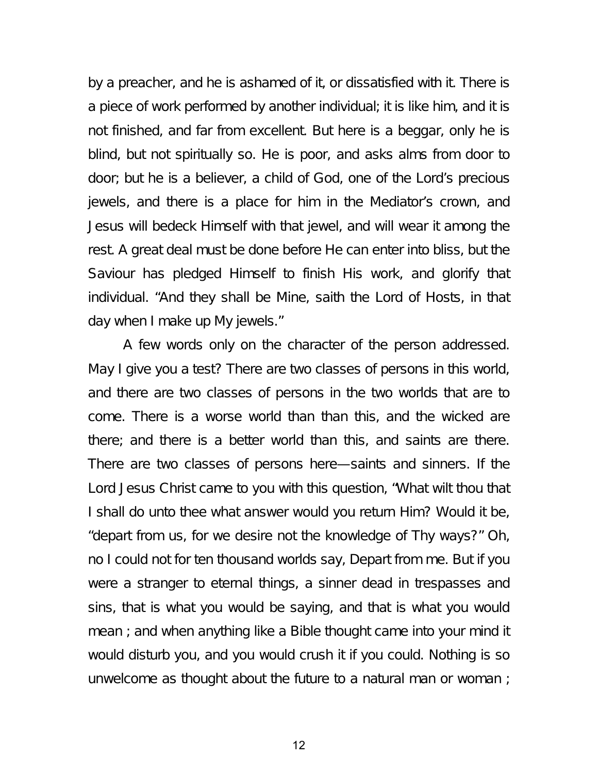by a preacher, and he is ashamed of it, or dissatisfied with it. There is a piece of work performed by another individual; it is like him, and it is not finished, and far from excellent. But here is a beggar, only he is blind, but not spiritually so. He is poor, and asks alms from door to door; but he is a believer, a child of God, one of the Lord's precious jewels, and there is a place for him in the Mediator's crown, and Jesus will bedeck Himself with that jewel, and will wear it among the rest. A great deal must be done before He can enter into bliss, but the Saviour has pledged Himself to finish His work, and glorify that individual. "And they shall be Mine, saith the Lord of Hosts, in that day when I make up My jewels."

A few words only on the character of the person addressed. May I give you a test? There are two classes of persons in this world, and there are two classes of persons in the two worlds that are to come. There is a worse world than than this, and the wicked are there; and there is a better world than this, and saints are there. There are two classes of persons here—saints and sinners. If the Lord Jesus Christ came to you with this question, "What wilt thou that I shall do unto thee what answer would you return Him? Would it be, "depart from us, for we desire not the knowledge of Thy ways?" Oh, no I could not for ten thousand worlds say, Depart from me. But if you were a stranger to eternal things, a sinner dead in trespasses and sins, that is what you would be saying, and that is what you would mean ; and when anything like a Bible thought came into your mind it would disturb you, and you would crush it if you could. Nothing is so unwelcome as thought about the future to a natural man or woman ;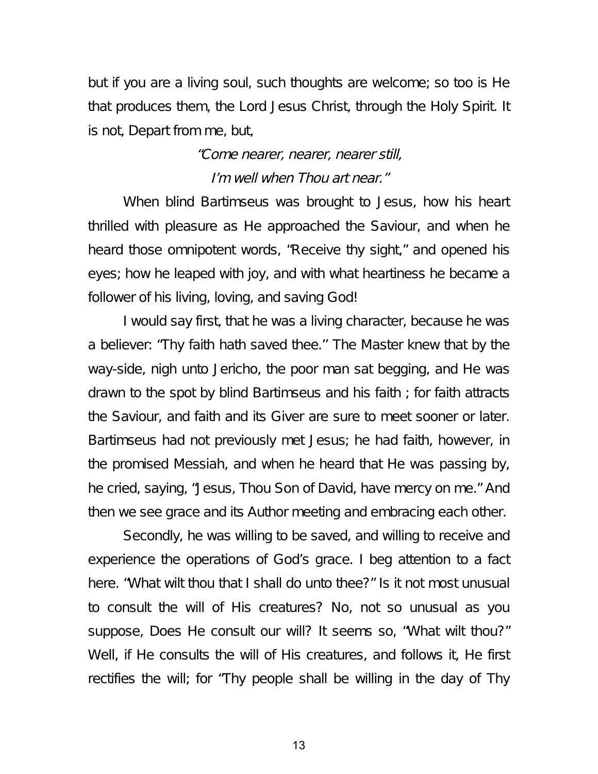but if you are a living soul, such thoughts are welcome; so too is He that produces them, the Lord Jesus Christ, through the Holy Spirit. It is not, Depart from me, but,

# "Come nearer, nearer, nearer still, I'm well when Thou art near."

When blind Bartimseus was brought to Jesus, how his heart thrilled with pleasure as He approached the Saviour, and when he heard those omnipotent words, "Receive thy sight," and opened his eyes; how he leaped with joy, and with what heartiness he became a follower of his living, loving, and saving God!

I would say first, that he was a living character, because he was a believer: "Thy faith hath saved thee.'' The Master knew that by the way-side, nigh unto Jericho, the poor man sat begging, and He was drawn to the spot by blind Bartimseus and his faith ; for faith attracts the Saviour, and faith and its Giver are sure to meet sooner or later. Bartimseus had not previously met Jesus; he had faith, however, in the promised Messiah, and when he heard that He was passing by, he cried, saying, "Jesus, Thou Son of David, have mercy on me." And then we see grace and its Author meeting and embracing each other.

Secondly, he was willing to be saved, and willing to receive and experience the operations of God's grace. I beg attention to a fact here. "What wilt thou that I shall do unto thee?" Is it not most unusual to consult the will of His creatures? No, not so unusual as you suppose, Does He consult our will? It seems so, "What wilt thou?" Well, if He consults the will of His creatures, and follows it, He first rectifies the will; for "Thy people shall be willing in the day of Thy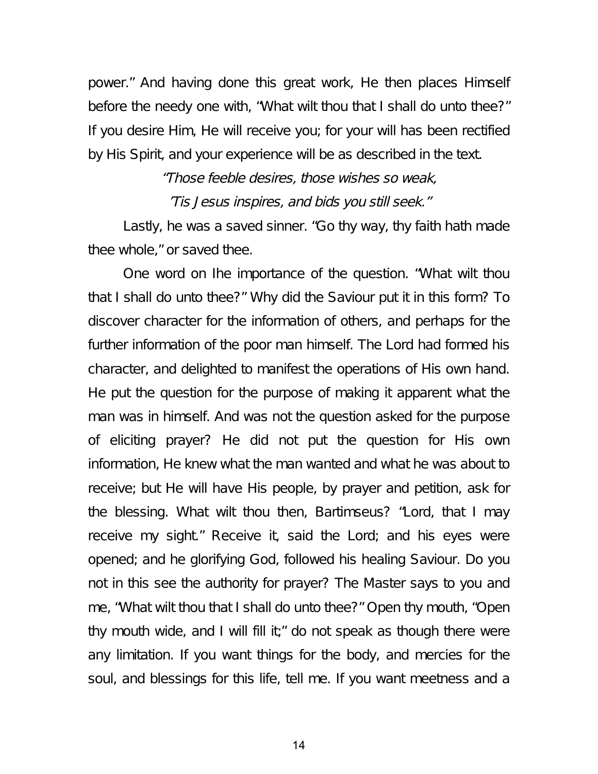power." And having done this great work, He then places Himself before the needy one with, "What wilt thou that I shall do unto thee?" If you desire Him, He will receive you; for your will has been rectified by His Spirit, and your experience will be as described in the text.

> "Those feeble desires, those wishes so weak, 'Tis Jesus inspires, and bids you still seek."

Lastly, he was a saved sinner. "Go thy way, thy faith hath made thee whole," or saved thee.

One word on Ihe importance of the question. "What wilt thou that I shall do unto thee?" Why did the Saviour put it in this form? To discover character for the information of others, and perhaps for the further information of the poor man himself. The Lord had formed his character, and delighted to manifest the operations of His own hand. He put the question for the purpose of making it apparent what the man was in himself. And was not the question asked for the purpose of eliciting prayer? He did not put the question for His own information, He knew what the man wanted and what he was about to receive; but He will have His people, by prayer and petition, ask for the blessing. What wilt thou then, Bartimseus? "Lord, that I may receive my sight." Receive it, said the Lord; and his eyes were opened; and he glorifying God, followed his healing Saviour. Do you not in this see the authority for prayer? The Master says to you and me, "What wilt thou that I shall do unto thee?" Open thy mouth, "Open thy mouth wide, and I will fill it;" do not speak as though there were any limitation. If you want things for the body, and mercies for the soul, and blessings for this life, tell me. If you want meetness and a